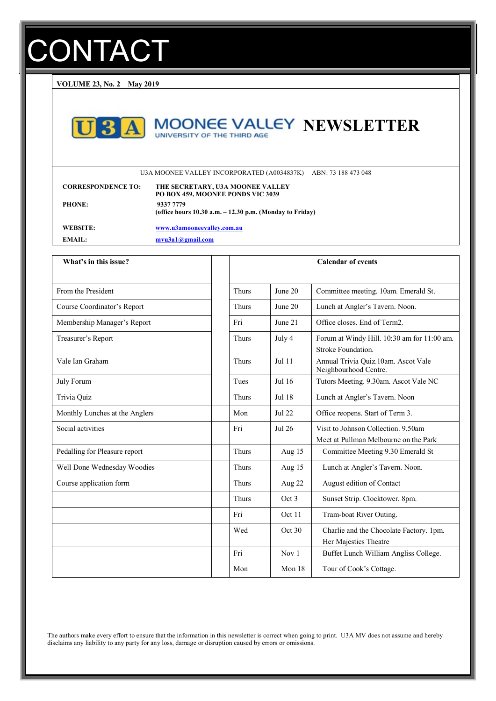# **CONTACT**

**VOLUME 23, No. 2 May 2019**



## **MOONEE VALLEY NEWSLETTER**

U3A MOONEE VALLEY INCORPORATED (A0034837K) ABN: 73 188 473 048

| <b>CORRESPONDENCE TO:</b> | THE SECRETARY, U3A MOONEE VALLEY<br>PO BOX 459, MOONEE PONDS VIC 3039    |
|---------------------------|--------------------------------------------------------------------------|
| <b>PHONE:</b>             | 9337 7779<br>(office hours $10.30$ a.m. $-12.30$ p.m. (Monday to Friday) |
| WEBSITE:                  | www.u3amooneevalley.com.au                                               |
| <b>EMAIL:</b>             | $m$ vu $3a1$ <i>(a)</i> <b>g</b> mail.com                                |

| What's in this issue?          |              |          | <b>Calendar of events</b>                                                    |
|--------------------------------|--------------|----------|------------------------------------------------------------------------------|
|                                |              |          |                                                                              |
| From the President             | <b>Thurs</b> | June 20  | Committee meeting. 10am. Emerald St.                                         |
| Course Coordinator's Report    | <b>Thurs</b> | June 20  | Lunch at Angler's Tavern. Noon.                                              |
| Membership Manager's Report    | Fri          | June 21  | Office closes. End of Term2.                                                 |
| Treasurer's Report             | <b>Thurs</b> | July 4   | Forum at Windy Hill. 10:30 am for 11:00 am.<br>Stroke Foundation.            |
| Vale Ian Graham                | <b>Thurs</b> | Jul 11   | Annual Trivia Quiz.10am. Ascot Vale<br>Neighbourhood Centre.                 |
| <b>July Forum</b>              | Tues         | $Jul$ 16 | Tutors Meeting. 9.30am. Ascot Vale NC                                        |
| Trivia Quiz                    | <b>Thurs</b> | Jul 18   | Lunch at Angler's Tavern. Noon                                               |
| Monthly Lunches at the Anglers | Mon          | Jul 22   | Office reopens. Start of Term 3.                                             |
| Social activities              | Fri          | Jul 26   | Visit to Johnson Collection. 9.50am<br>Meet at Pullman Melbourne on the Park |
| Pedalling for Pleasure report  | <b>Thurs</b> | Aug 15   | Committee Meeting 9.30 Emerald St                                            |
| Well Done Wednesday Woodies    | <b>Thurs</b> | Aug 15   | Lunch at Angler's Tavern. Noon.                                              |
| Course application form        | <b>Thurs</b> | Aug 22   | August edition of Contact                                                    |
|                                | <b>Thurs</b> | Oct 3    | Sunset Strip. Clocktower. 8pm.                                               |
|                                | Fri          | Oct 11   | Tram-boat River Outing.                                                      |
|                                | Wed          | Oct 30   | Charlie and the Chocolate Factory. 1pm.<br>Her Majesties Theatre             |
|                                | Fri          | Nov 1    | Buffet Lunch William Angliss College.                                        |
|                                | Mon          | Mon 18   | Tour of Cook's Cottage.                                                      |

The authors make every effort to ensure that the information in this newsletter is correct when going to print. U3A MV does not assume and hereby disclaims any liability to any party for any loss, damage or disruption caused by errors or omissions.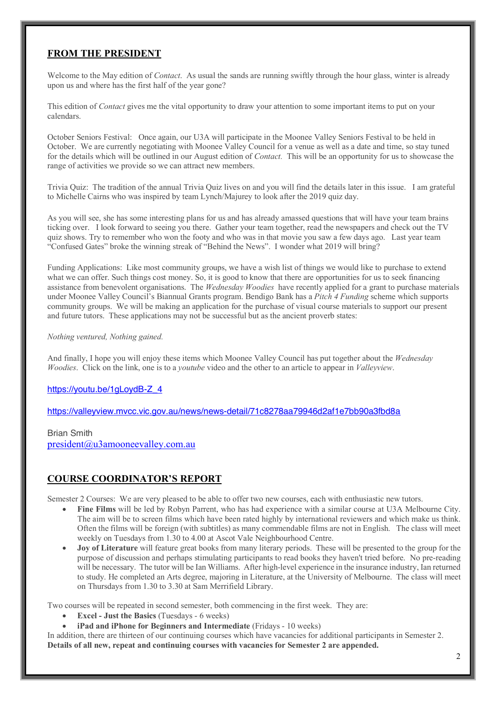### **FROM THE PRESIDENT**

Welcome to the May edition of *Contact*. As usual the sands are running swiftly through the hour glass, winter is already upon us and where has the first half of the year gone?

This edition of *Contact* gives me the vital opportunity to draw your attention to some important items to put on your calendars.

October Seniors Festival: Once again, our U3A will participate in the Moonee Valley Seniors Festival to be held in October. We are currently negotiating with Moonee Valley Council for a venue as well as a date and time, so stay tuned for the details which will be outlined in our August edition of *Contact.* This will be an opportunity for us to showcase the range of activities we provide so we can attract new members.

Trivia Quiz: The tradition of the annual Trivia Quiz lives on and you will find the details later in this issue. I am grateful to Michelle Cairns who was inspired by team Lynch/Majurey to look after the 2019 quiz day.

As you will see, she has some interesting plans for us and has already amassed questions that will have your team brains ticking over. I look forward to seeing you there. Gather your team together, read the newspapers and check out the TV quiz shows. Try to remember who won the footy and who was in that movie you saw a few days ago. Last year team "Confused Gates" broke the winning streak of "Behind the News". I wonder what 2019 will bring?

Funding Applications: Like most community groups, we have a wish list of things we would like to purchase to extend what we can offer. Such things cost money. So, it is good to know that there are opportunities for us to seek financing assistance from benevolent organisations. The *Wednesday Woodies* have recently applied for a grant to purchase materials under Moonee Valley Council's Biannual Grants program. Bendigo Bank has a *Pitch 4 Funding* scheme which supports community groups. We will be making an application for the purchase of visual course materials to support our present and future tutors. These applications may not be successful but as the ancient proverb states:

### *Nothing ventured, Nothing gained.*

And finally, I hope you will enjoy these items which Moonee Valley Council has put together about the *Wednesday Woodies*. Click on the link, one is to a *youtube* video and the other to an article to appear in *Valleyview*.

### https://youtu.be/1gLoydB-Z\_4

https://valleyview.mvcc.vic.gov.au/news/news-detail/71c8278aa79946d2af1e7bb90a3fbd8a

### Brian Smith

president@u3amooneevalley.com.au

### **COURSE COORDINATOR'S REPORT**

Semester 2 Courses: We are very pleased to be able to offer two new courses, each with enthusiastic new tutors.

- **Fine Films** will be led by Robyn Parrent, who has had experience with a similar course at U3A Melbourne City. The aim will be to screen films which have been rated highly by international reviewers and which make us think. Often the films will be foreign (with subtitles) as many commendable films are not in English. The class will meet weekly on Tuesdays from 1.30 to 4.00 at Ascot Vale Neighbourhood Centre.
- **Joy of Literature** will feature great books from many literary periods. These will be presented to the group for the purpose of discussion and perhaps stimulating participants to read books they haven't tried before. No pre-reading will be necessary. The tutor will be Ian Williams. After high-level experience in the insurance industry, Ian returned to study. He completed an Arts degree, majoring in Literature, at the University of Melbourne. The class will meet on Thursdays from 1.30 to 3.30 at Sam Merrifield Library.

Two courses will be repeated in second semester, both commencing in the first week. They are:

- **Excel - Just the Basics** (Tuesdays 6 weeks)
- **iPad and iPhone for Beginners and Intermediate** (Fridays 10 weeks)

In addition, there are thirteen of our continuing courses which have vacancies for additional participants in Semester 2. **Details of all new, repeat and continuing courses with vacancies for Semester 2 are appended.**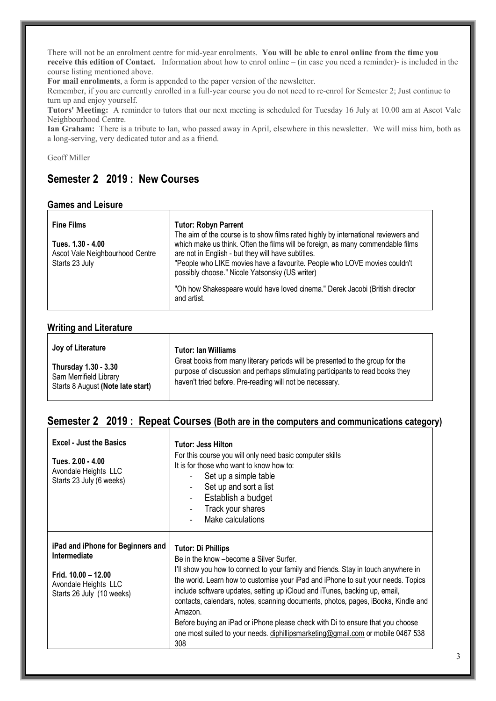There will not be an enrolment centre for mid-year enrolments. **You will be able to enrol online from the time you receive this edition of Contact.** Information about how to enrol online – (in case you need a reminder)- is included in the course listing mentioned above.

**For mail enrolments**, a form is appended to the paper version of the newsletter.

Remember, if you are currently enrolled in a full-year course you do not need to re-enrol for Semester 2; Just continue to turn up and enjoy yourself.

**Tutors' Meeting:** A reminder to tutors that our next meeting is scheduled for Tuesday 16 July at 10.00 am at Ascot Vale Neighbourhood Centre.

**Ian Graham:** There is a tribute to Ian, who passed away in April, elsewhere in this newsletter. We will miss him, both as a long-serving, very dedicated tutor and as a friend.

Geoff Miller

### **Semester 2 2019 : New Courses**

### **Games and Leisure**

| <b>Fine Films</b>                                                      | <b>Tutor: Robyn Parrent</b>                                                                                                                                                                                                                                                                                                                                |
|------------------------------------------------------------------------|------------------------------------------------------------------------------------------------------------------------------------------------------------------------------------------------------------------------------------------------------------------------------------------------------------------------------------------------------------|
| Tues. 1.30 - 4.00<br>Ascot Vale Neighbourhood Centre<br>Starts 23 July | The aim of the course is to show films rated highly by international reviewers and<br>which make us think. Often the films will be foreign, as many commendable films<br>are not in English - but they will have subtitles.<br>"People who LIKE movies have a favourite. People who LOVE movies couldn't<br>possibly choose." Nicole Yatsonsky (US writer) |
|                                                                        | "Oh how Shakespeare would have loved cinema." Derek Jacobi (British director<br>and artist.                                                                                                                                                                                                                                                                |

### **Writing and Literature**

| Joy of Literature                 | <b>Tutor: Ian Williams</b>                                                    |
|-----------------------------------|-------------------------------------------------------------------------------|
| Thursday 1.30 - 3.30              | Great books from many literary periods will be presented to the group for the |
| Sam Merrifield Library            | purpose of discussion and perhaps stimulating participants to read books they |
| Starts 8 August (Note late start) | haven't tried before. Pre-reading will not be necessary.                      |

### **Semester 2 2019 : Repeat Courses (Both are in the computers and communications category)**

| <b>Excel - Just the Basics</b><br>Tues. 2.00 - 4.00<br>Avondale Heights LLC<br>Starts 23 July (6 weeks)                         | <b>Tutor: Jess Hilton</b><br>For this course you will only need basic computer skills<br>It is for those who want to know how to:<br>Set up a simple table<br>Set up and sort a list<br>Establish a budget<br>Track your shares<br>Make calculations                                                                                                                                                                                                                                                                                                                                                       |
|---------------------------------------------------------------------------------------------------------------------------------|------------------------------------------------------------------------------------------------------------------------------------------------------------------------------------------------------------------------------------------------------------------------------------------------------------------------------------------------------------------------------------------------------------------------------------------------------------------------------------------------------------------------------------------------------------------------------------------------------------|
| iPad and iPhone for Beginners and<br>Intermediate<br>Frid. $10.00 - 12.00$<br>Avondale Heights LLC<br>Starts 26 July (10 weeks) | <b>Tutor: Di Phillips</b><br>Be in the know - become a Silver Surfer.<br>I'll show you how to connect to your family and friends. Stay in touch anywhere in<br>the world. Learn how to customise your iPad and iPhone to suit your needs. Topics<br>include software updates, setting up iCloud and iTunes, backing up, email,<br>contacts, calendars, notes, scanning documents, photos, pages, iBooks, Kindle and<br>Amazon.<br>Before buying an iPad or iPhone please check with Di to ensure that you choose<br>one most suited to your needs. diphillipsmarketing@gmail.com or mobile 0467 538<br>308 |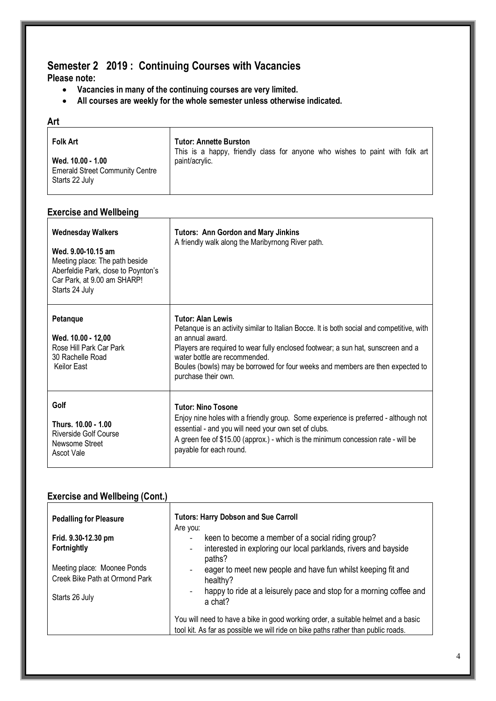### **Semester 2 2019 : Continuing Courses with Vacancies**

**Please note:** 

- **Vacancies in many of the continuing courses are very limited.**
- **All courses are weekly for the whole semester unless otherwise indicated.**

| <b>Folk Art</b>                                                               | <b>Tutor: Annette Burston</b><br>This is a happy, friendly class for anyone who wishes to paint with folk art |
|-------------------------------------------------------------------------------|---------------------------------------------------------------------------------------------------------------|
| Wed. 10.00 - 1.00<br><b>Emerald Street Community Centre</b><br>Starts 22 July | paint/acrylic.                                                                                                |

### **Exercise and Wellbeing**

| <b>Wednesday Walkers</b><br>Wed. 9.00-10.15 am<br>Meeting place: The path beside<br>Aberfeldie Park, close to Poynton's<br>Car Park, at 9.00 am SHARP!<br>Starts 24 July | <b>Tutors: Ann Gordon and Mary Jinkins</b><br>A friendly walk along the Maribyrnong River path.                                                                                                                                                                                                                                                                         |
|--------------------------------------------------------------------------------------------------------------------------------------------------------------------------|-------------------------------------------------------------------------------------------------------------------------------------------------------------------------------------------------------------------------------------------------------------------------------------------------------------------------------------------------------------------------|
| Petanque<br>Wed. 10.00 - 12,00<br>Rose Hill Park Car Park<br>30 Rachelle Road<br>Keilor East                                                                             | <b>Tutor: Alan Lewis</b><br>Petanque is an activity similar to Italian Bocce. It is both social and competitive, with<br>an annual award.<br>Players are required to wear fully enclosed footwear; a sun hat, sunscreen and a<br>water bottle are recommended.<br>Boules (bowls) may be borrowed for four weeks and members are then expected to<br>purchase their own. |
| Golf<br>Thurs. 10.00 - 1.00<br><b>Riverside Golf Course</b><br>Newsome Street<br>Ascot Vale                                                                              | <b>Tutor: Nino Tosone</b><br>Enjoy nine holes with a friendly group. Some experience is preferred - although not<br>essential - and you will need your own set of clubs.<br>A green fee of \$15.00 (approx.) - which is the minimum concession rate - will be<br>payable for each round.                                                                                |

### **Exercise and Wellbeing (Cont.)**

| <b>Pedalling for Pleasure</b>                                 | <b>Tutors: Harry Dobson and Sue Carroll</b><br>Are you:                                                                                                                |
|---------------------------------------------------------------|------------------------------------------------------------------------------------------------------------------------------------------------------------------------|
| Frid. 9.30-12.30 pm                                           | keen to become a member of a social riding group?                                                                                                                      |
| Fortnightly                                                   | interested in exploring our local parklands, rivers and bayside<br>$\overline{\phantom{a}}$<br>paths?                                                                  |
| Meeting place: Moonee Ponds<br>Creek Bike Path at Ormond Park | eager to meet new people and have fun whilst keeping fit and<br>healthy?                                                                                               |
| Starts 26 July                                                | happy to ride at a leisurely pace and stop for a morning coffee and<br>a chat?                                                                                         |
|                                                               | You will need to have a bike in good working order, a suitable helmet and a basic<br>tool kit. As far as possible we will ride on bike paths rather than public roads. |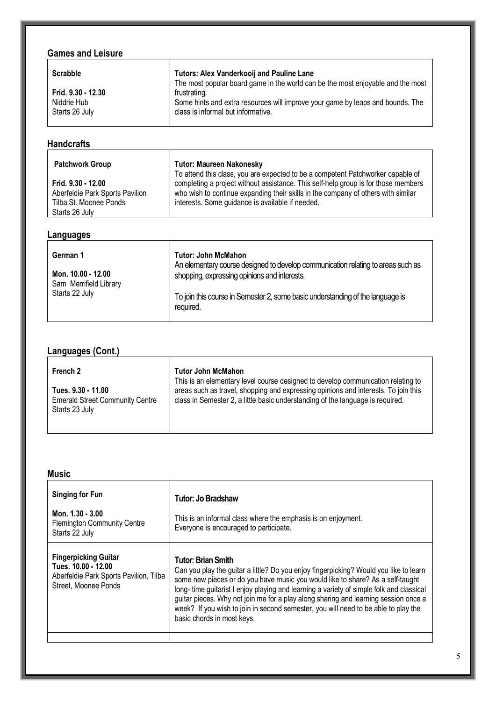## **Games and Leisure**

| <b>Games and Leisure</b>                            |                                                                                                                                      |
|-----------------------------------------------------|--------------------------------------------------------------------------------------------------------------------------------------|
| <b>Scrabble</b>                                     | <b>Tutors: Alex Vanderkooij and Pauline Lane</b><br>The most popular board game in the world can be the most enjoyable and the most  |
| Frid. 9.30 - 12.30<br>Niddrie Hub<br>Starts 26 July | frustrating.<br>Some hints and extra resources will improve your game by leaps and bounds. The<br>class is informal but informative. |

| <b>Handcrafts</b>                                                                                 |                                                                                                                                                                                                                             |
|---------------------------------------------------------------------------------------------------|-----------------------------------------------------------------------------------------------------------------------------------------------------------------------------------------------------------------------------|
| <b>Patchwork Group</b>                                                                            | <b>Tutor: Maureen Nakonesky</b><br>To attend this class, you are expected to be a competent Patchworker capable of                                                                                                          |
| Frid. 9.30 - 12.00<br>Aberfeldie Park Sports Pavilion<br>Tilba St. Moonee Ponds<br>Starts 26 July | completing a project without assistance. This self-help group is for those members<br>who wish to continue expanding their skills in the company of others with similar<br>interests. Some guidance is available if needed. |

### **Languages**

| required. | German 1<br>Mon. 10.00 - 12.00<br>Sam Merrifield Library<br>Starts 22 July | <b>Tutor: John McMahon</b><br>An elementary course designed to develop communication relating to areas such as<br>shopping, expressing opinions and interests.<br>To join this course in Semester 2, some basic understanding of the language is |
|-----------|----------------------------------------------------------------------------|--------------------------------------------------------------------------------------------------------------------------------------------------------------------------------------------------------------------------------------------------|
|-----------|----------------------------------------------------------------------------|--------------------------------------------------------------------------------------------------------------------------------------------------------------------------------------------------------------------------------------------------|

### **Languages (Cont.)**

| French 2                                                                       | <b>Tutor John McMahon</b><br>This is an elementary level course designed to develop communication relating to                                                        |
|--------------------------------------------------------------------------------|----------------------------------------------------------------------------------------------------------------------------------------------------------------------|
| Tues. 9.30 - 11.00<br><b>Emerald Street Community Centre</b><br>Starts 23 July | areas such as travel, shopping and expressing opinions and interests. To join this<br>class in Semester 2, a little basic understanding of the language is required. |

| <b>Music</b>                                                                                                         |                                                                                                                                                                                                                                                                                                                                                                                                                                                                                                     |
|----------------------------------------------------------------------------------------------------------------------|-----------------------------------------------------------------------------------------------------------------------------------------------------------------------------------------------------------------------------------------------------------------------------------------------------------------------------------------------------------------------------------------------------------------------------------------------------------------------------------------------------|
| <b>Singing for Fun</b><br>Mon. 1.30 - 3.00<br><b>Flemington Community Centre</b><br>Starts 22 July                   | Tutor: Jo Bradshaw<br>This is an informal class where the emphasis is on enjoyment.<br>Everyone is encouraged to participate.                                                                                                                                                                                                                                                                                                                                                                       |
| <b>Fingerpicking Guitar</b><br>Tues. 10.00 - 12.00<br>Aberfeldie Park Sports Pavilion, Tilba<br>Street, Moonee Ponds | Tutor: Brian Smith<br>Can you play the guitar a little? Do you enjoy fingerpicking? Would you like to learn<br>some new pieces or do you have music you would like to share? As a self-taught<br>long-time guitarist I enjoy playing and learning a variety of simple folk and classical<br>guitar pieces. Why not join me for a play along sharing and learning session once a<br>week? If you wish to join in second semester, you will need to be able to play the<br>basic chords in most keys. |
|                                                                                                                      |                                                                                                                                                                                                                                                                                                                                                                                                                                                                                                     |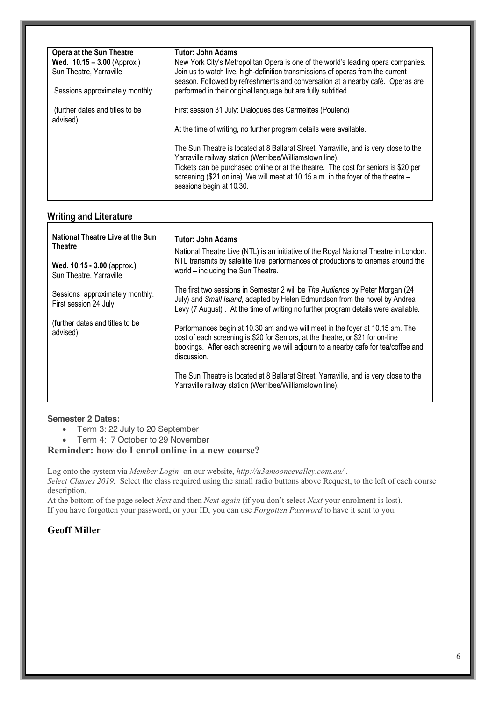| <b>Opera at the Sun Theatre</b>                 | Tutor: John Adams                                                                                                                                                                                                                                                                                                                                         |
|-------------------------------------------------|-----------------------------------------------------------------------------------------------------------------------------------------------------------------------------------------------------------------------------------------------------------------------------------------------------------------------------------------------------------|
| <b>Wed. <math>10.15 - 3.00</math></b> (Approx.) | New York City's Metropolitan Opera is one of the world's leading opera companies.                                                                                                                                                                                                                                                                         |
| Sun Theatre, Yarraville                         | Join us to watch live, high-definition transmissions of operas from the current<br>season. Followed by refreshments and conversation at a nearby café. Operas are                                                                                                                                                                                         |
| Sessions approximately monthly.                 | performed in their original language but are fully subtitled.                                                                                                                                                                                                                                                                                             |
| (further dates and titles to be<br>advised)     | First session 31 July: Dialogues des Carmelites (Poulenc)                                                                                                                                                                                                                                                                                                 |
|                                                 | At the time of writing, no further program details were available.                                                                                                                                                                                                                                                                                        |
|                                                 | The Sun Theatre is located at 8 Ballarat Street, Yarraville, and is very close to the<br>Yarraville railway station (Werribee/Williamstown line).<br>Tickets can be purchased online or at the theatre. The cost for seniors is \$20 per<br>screening (\$21 online). We will meet at 10.15 a.m. in the foyer of the theatre -<br>sessions begin at 10.30. |

### **Writing and Literature**

| National Theatre Live at the Sun<br><b>Theatre</b>        | <b>Tutor: John Adams</b><br>National Theatre Live (NTL) is an initiative of the Royal National Theatre in London.<br>NTL transmits by satellite 'live' performances of productions to cinemas around the<br>world – including the Sun Theatre.                                                                                                                                                                             |
|-----------------------------------------------------------|----------------------------------------------------------------------------------------------------------------------------------------------------------------------------------------------------------------------------------------------------------------------------------------------------------------------------------------------------------------------------------------------------------------------------|
| Wed. 10.15 - 3.00 (approx.)<br>Sun Theatre, Yarraville    |                                                                                                                                                                                                                                                                                                                                                                                                                            |
| Sessions approximately monthly.<br>First session 24 July. | The first two sessions in Semester 2 will be <i>The Audience</i> by Peter Morgan (24<br>July) and Small Island, adapted by Helen Edmundson from the novel by Andrea<br>Levy (7 August). At the time of writing no further program details were available.                                                                                                                                                                  |
| (further dates and titles to be<br>advised)               | Performances begin at 10.30 am and we will meet in the foyer at 10.15 am. The<br>cost of each screening is \$20 for Seniors, at the theatre, or \$21 for on-line<br>bookings. After each screening we will adjourn to a nearby cafe for tea/coffee and<br>discussion.<br>The Sun Theatre is located at 8 Ballarat Street, Yarraville, and is very close to the<br>Yarraville railway station (Werribee/Williamstown line). |

### **Semester 2 Dates:**

- Term 3: 22 July to 20 September
- Term 4: 7 October to 29 November

### **Reminder: how do I enrol online in a new course?**

Log onto the system via *Member Login*: on our website, *http://u3amooneevalley.com.au/* . *Select Classes 2019.* Select the class required using the small radio buttons above Request, to the left of each course

description.

At the bottom of the page select *Next* and then *Next again* (if you don't select *Next* your enrolment is lost). If you have forgotten your password, or your ID, you can use *Forgotten Password* to have it sent to you.

### **Geoff Miller**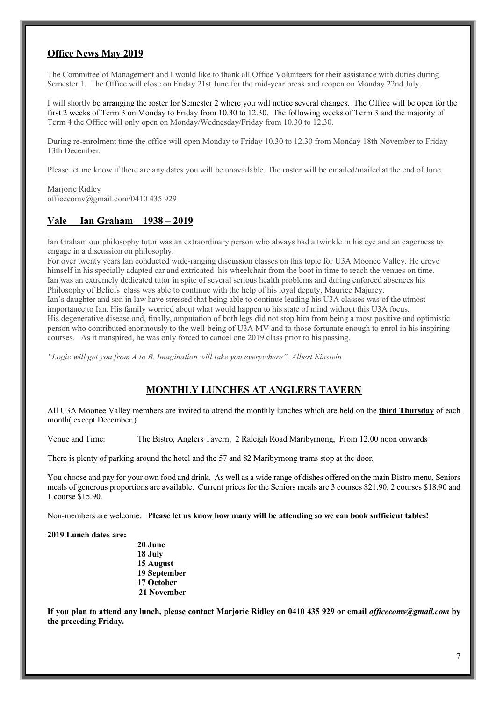### **Office News May 2019**

The Committee of Management and I would like to thank all Office Volunteers for their assistance with duties during Semester 1. The Office will close on Friday 21st June for the mid-year break and reopen on Monday 22nd July.

I will shortly be arranging the roster for Semester 2 where you will notice several changes. The Office will be open for the first 2 weeks of Term 3 on Monday to Friday from 10.30 to 12.30. The following weeks of Term 3 and the majority of Term 4 the Office will only open on Monday/Wednesday/Friday from 10.30 to 12.30.

During re-enrolment time the office will open Monday to Friday 10.30 to 12.30 from Monday 18th November to Friday 13th December.

Please let me know if there are any dates you will be unavailable. The roster will be emailed/mailed at the end of June.

Mariorie Ridley officecomv@gmail.com/0410 435 929

### **Vale Ian Graham 1938 – 2019**

Ian Graham our philosophy tutor was an extraordinary person who always had a twinkle in his eye and an eagerness to engage in a discussion on philosophy.

For over twenty years Ian conducted wide-ranging discussion classes on this topic for U3A Moonee Valley. He drove himself in his specially adapted car and extricated his wheelchair from the boot in time to reach the venues on time. Ian was an extremely dedicated tutor in spite of several serious health problems and during enforced absences his Philosophy of Beliefs class was able to continue with the help of his loyal deputy, Maurice Majurey. Ian's daughter and son in law have stressed that being able to continue leading his U3A classes was of the utmost importance to Ian. His family worried about what would happen to his state of mind without this U3A focus. His degenerative disease and, finally, amputation of both legs did not stop him from being a most positive and optimistic person who contributed enormously to the well-being of U3A MV and to those fortunate enough to enrol in his inspiring courses. As it transpired, he was only forced to cancel one 2019 class prior to his passing.

*"Logic will get you from A to B. Imagination will take you everywhere". Albert Einstein*

### **MONTHLY LUNCHES AT ANGLERS TAVERN**

All U3A Moonee Valley members are invited to attend the monthly lunches which are held on the **third Thursday** of each month( except December.)

Venue and Time: The Bistro, Anglers Tavern, 2 Raleigh Road Maribyrnong, From 12.00 noon onwards

There is plenty of parking around the hotel and the 57 and 82 Maribyrnong trams stop at the door.

You choose and pay for your own food and drink. As well as a wide range of dishes offered on the main Bistro menu, Seniors meals of generous proportions are available. Current prices for the Seniors meals are 3 courses \$21.90, 2 courses \$18.90 and 1 course \$15.90.

Non-members are welcome. **Please let us know how many will be attending so we can book sufficient tables!**

**2019 Lunch dates are:**

**20 June 18 July 15 August 19 September 17 October 21 November**

**If you plan to attend any lunch, please contact Marjorie Ridley on 0410 435 929 or email** *officecomv@gmail.com* **by the preceding Friday.**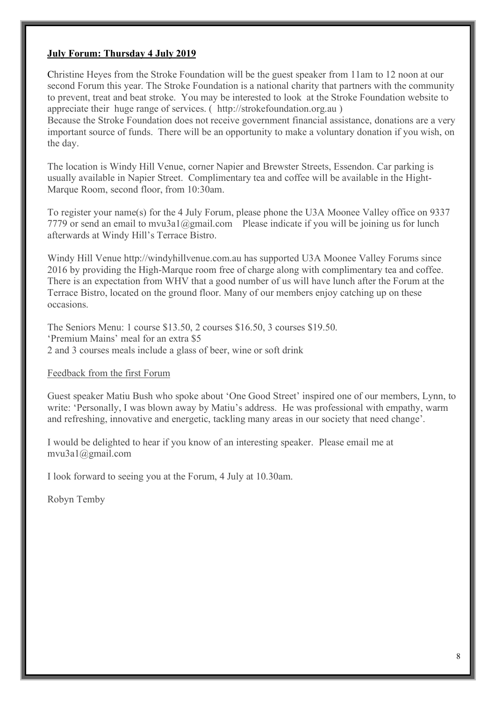### **July Forum: Thursday 4 July 2019**

Christine Heyes from the Stroke Foundation will be the guest speaker from 11am to 12 noon at our second Forum this year. The Stroke Foundation is a national charity that partners with the community to prevent, treat and beat stroke. You may be interested to look at the Stroke Foundation website to appreciate their huge range of services. ( http://strokefoundation.org.au )

Because the Stroke Foundation does not receive government financial assistance, donations are a very important source of funds. There will be an opportunity to make a voluntary donation if you wish, on the day.

The location is Windy Hill Venue, corner Napier and Brewster Streets, Essendon. Car parking is usually available in Napier Street. Complimentary tea and coffee will be available in the Hight-Marque Room, second floor, from 10:30am.

To register your name(s) for the 4 July Forum, please phone the U3A Moonee Valley office on 9337 7779 or send an email to mvu3a1@gmail.com Please indicate if you will be joining us for lunch afterwards at Windy Hill's Terrace Bistro.

Windy Hill Venue http://windyhillvenue.com.au has supported U3A Moonee Valley Forums since 2016 by providing the High-Marque room free of charge along with complimentary tea and coffee. There is an expectation from WHV that a good number of us will have lunch after the Forum at the Terrace Bistro, located on the ground floor. Many of our members enjoy catching up on these occasions.

The Seniors Menu: 1 course \$13.50, 2 courses \$16.50, 3 courses \$19.50. 'Premium Mains' meal for an extra \$5 2 and 3 courses meals include a glass of beer, wine or soft drink

Feedback from the first Forum

Guest speaker Matiu Bush who spoke about 'One Good Street' inspired one of our members, Lynn, to write: 'Personally, I was blown away by Matiu's address. He was professional with empathy, warm and refreshing, innovative and energetic, tackling many areas in our society that need change'.

I would be delighted to hear if you know of an interesting speaker. Please email me at mvu3a1@gmail.com

I look forward to seeing you at the Forum, 4 July at 10.30am.

Robyn Temby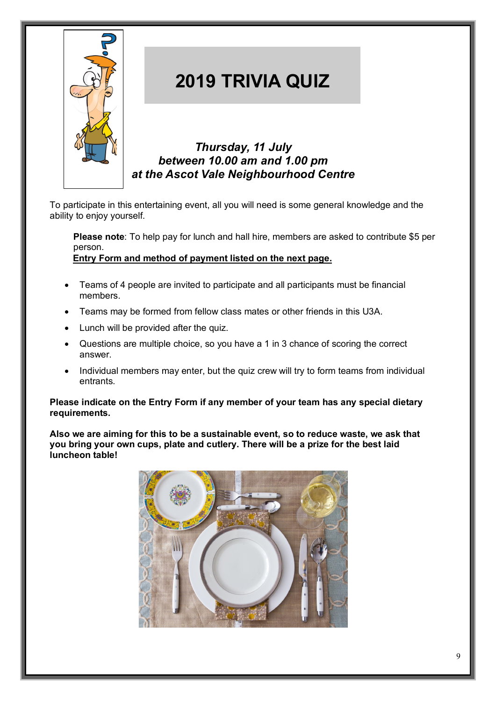

### **2019 TRIVIA QUIZ**

*Thursday, 11 July between 10.00 am and 1.00 pm at the Ascot Vale Neighbourhood Centre*

To participate in this entertaining event, all you will need is some general knowledge and the ability to enjoy yourself.

**Please note**: To help pay for lunch and hall hire, members are asked to contribute \$5 per person.

**Entry Form and method of payment listed on the next page.**

- Teams of 4 people are invited to participate and all participants must be financial members.
- Teams may be formed from fellow class mates or other friends in this U3A.
- Lunch will be provided after the quiz.

*Closing date for all entries is Wednesday 26 June, 2019*

- Questions are multiple choice, so you have a 1 in 3 chance of scoring the correct answer.
- Individual members may enter, but the quiz crew will try to form teams from individual entrants.

**Please indicate on the Entry Form if any member of your team has any special dietary requirements.**

**Also we are aiming for this to be a sustainable event, so to reduce waste, we ask that you bring your own cups, plate and cutlery. There will be a prize for the best laid luncheon table!**

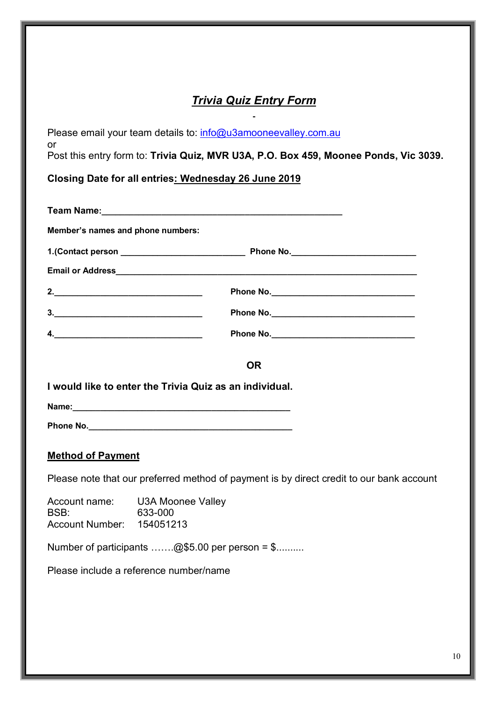### *Trivia Quiz Entry Form*

| Please email your team details to: info@u3amooneevalley.com.au                                                                                                                                                                                                                                                                                                                                            |                                                                                          |  |  |  |
|-----------------------------------------------------------------------------------------------------------------------------------------------------------------------------------------------------------------------------------------------------------------------------------------------------------------------------------------------------------------------------------------------------------|------------------------------------------------------------------------------------------|--|--|--|
| or<br>Post this entry form to: Trivia Quiz, MVR U3A, P.O. Box 459, Moonee Ponds, Vic 3039.                                                                                                                                                                                                                                                                                                                |                                                                                          |  |  |  |
| Closing Date for all entries: Wednesday 26 June 2019                                                                                                                                                                                                                                                                                                                                                      |                                                                                          |  |  |  |
|                                                                                                                                                                                                                                                                                                                                                                                                           |                                                                                          |  |  |  |
|                                                                                                                                                                                                                                                                                                                                                                                                           |                                                                                          |  |  |  |
| Member's names and phone numbers:                                                                                                                                                                                                                                                                                                                                                                         |                                                                                          |  |  |  |
|                                                                                                                                                                                                                                                                                                                                                                                                           |                                                                                          |  |  |  |
|                                                                                                                                                                                                                                                                                                                                                                                                           |                                                                                          |  |  |  |
|                                                                                                                                                                                                                                                                                                                                                                                                           |                                                                                          |  |  |  |
| $\begin{array}{c c c c c} \hline \rule{0pt}{8ex} \rule{0pt}{8ex} \rule{0pt}{8ex} \rule{0pt}{8ex} \rule{0pt}{8ex} \rule{0pt}{8ex} \rule{0pt}{8ex} \rule{0pt}{8ex} \rule{0pt}{8ex} \rule{0pt}{8ex} \rule{0pt}{8ex} \rule{0pt}{8ex} \rule{0pt}{8ex} \rule{0pt}{8ex} \rule{0pt}{8ex} \rule{0pt}{8ex} \rule{0pt}{8ex} \rule{0pt}{8ex} \rule{0pt}{8ex} \rule{0pt}{8ex} \rule{0pt}{8ex} \rule{0pt}{8ex} \rule{0$ |                                                                                          |  |  |  |
| 4.                                                                                                                                                                                                                                                                                                                                                                                                        |                                                                                          |  |  |  |
|                                                                                                                                                                                                                                                                                                                                                                                                           |                                                                                          |  |  |  |
|                                                                                                                                                                                                                                                                                                                                                                                                           | <b>OR</b>                                                                                |  |  |  |
|                                                                                                                                                                                                                                                                                                                                                                                                           | I would like to enter the Trivia Quiz as an individual.                                  |  |  |  |
|                                                                                                                                                                                                                                                                                                                                                                                                           |                                                                                          |  |  |  |
|                                                                                                                                                                                                                                                                                                                                                                                                           |                                                                                          |  |  |  |
| <b>Method of Payment</b>                                                                                                                                                                                                                                                                                                                                                                                  |                                                                                          |  |  |  |
|                                                                                                                                                                                                                                                                                                                                                                                                           | Please note that our preferred method of payment is by direct credit to our bank account |  |  |  |
| Account name:                                                                                                                                                                                                                                                                                                                                                                                             | <b>U3A Moonee Valley</b>                                                                 |  |  |  |
| BSB:<br><b>Account Number:</b>                                                                                                                                                                                                                                                                                                                                                                            | 633-000<br>154051213                                                                     |  |  |  |
|                                                                                                                                                                                                                                                                                                                                                                                                           | Number of participants @\$5.00 per person = $\text{\$}$                                  |  |  |  |
|                                                                                                                                                                                                                                                                                                                                                                                                           |                                                                                          |  |  |  |
|                                                                                                                                                                                                                                                                                                                                                                                                           | Please include a reference number/name                                                   |  |  |  |
|                                                                                                                                                                                                                                                                                                                                                                                                           |                                                                                          |  |  |  |
|                                                                                                                                                                                                                                                                                                                                                                                                           |                                                                                          |  |  |  |
|                                                                                                                                                                                                                                                                                                                                                                                                           |                                                                                          |  |  |  |
|                                                                                                                                                                                                                                                                                                                                                                                                           |                                                                                          |  |  |  |
|                                                                                                                                                                                                                                                                                                                                                                                                           |                                                                                          |  |  |  |

10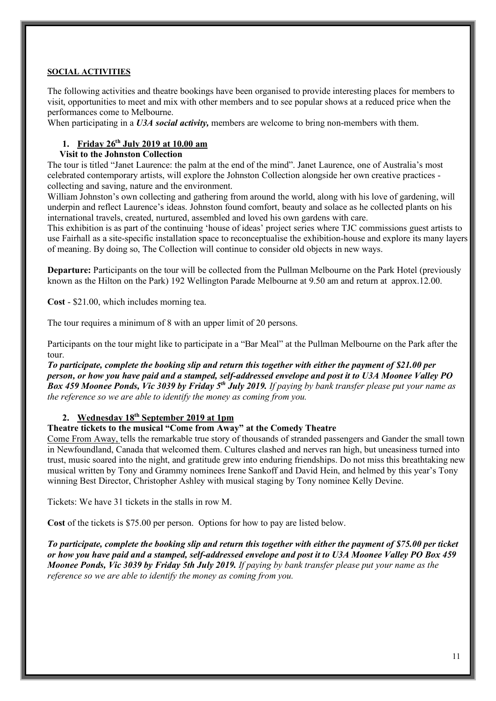### **SOCIAL ACTIVITIES**

The following activities and theatre bookings have been organised to provide interesting places for members to visit, opportunities to meet and mix with other members and to see popular shows at a reduced price when the performances come to Melbourne.

When participating in a *U3A social activity,* members are welcome to bring non-members with them.

### **1. Friday 26th July 2019 at 10.00 am**

### **Visit to the Johnston Collection**

The tour is titled "Janet Laurence: the palm at the end of the mind". Janet Laurence, one of Australia's most celebrated contemporary artists, will explore the Johnston Collection alongside her own creative practices collecting and saving, nature and the environment.

William Johnston's own collecting and gathering from around the world, along with his love of gardening, will underpin and reflect Laurence's ideas. Johnston found comfort, beauty and solace as he collected plants on his international travels, created, nurtured, assembled and loved his own gardens with care.

This exhibition is as part of the continuing 'house of ideas' project series where TJC commissions guest artists to use Fairhall as a site-specific installation space to reconceptualise the exhibition-house and explore its many layers of meaning. By doing so, The Collection will continue to consider old objects in new ways.

**Departure:** Participants on the tour will be collected from the Pullman Melbourne on the Park Hotel (previously known as the Hilton on the Park) 192 Wellington Parade Melbourne at 9.50 am and return at approx.12.00.

**Cost** - \$21.00, which includes morning tea.

The tour requires a minimum of 8 with an upper limit of 20 persons.

Participants on the tour might like to participate in a "Bar Meal" at the Pullman Melbourne on the Park after the tour.

*To participate, complete the booking slip and return this together with either the payment of \$21.00 per person, or how you have paid and a stamped, self-addressed envelope and post it to U3A Moonee Valley PO Box 459 Moonee Ponds, Vic 3039 by Friday 5th July 2019. If paying by bank transfer please put your name as the reference so we are able to identify the money as coming from you.*

### **2. Wednesday 18th September 2019 at 1pm**

### **Theatre tickets to the musical "Come from Away" at the Comedy Theatre**

Come From Away, tells the remarkable true story of thousands of stranded passengers and Gander the small town in Newfoundland, Canada that welcomed them. Cultures clashed and nerves ran high, but uneasiness turned into trust, music soared into the night, and gratitude grew into enduring friendships. Do not miss this breathtaking new musical written by Tony and Grammy nominees Irene Sankoff and David Hein, and helmed by this year's Tony winning Best Director, Christopher Ashley with musical staging by Tony nominee Kelly Devine.

Tickets: We have 31 tickets in the stalls in row M.

**Cost** of the tickets is \$75.00 per person. Options for how to pay are listed below.

*To participate, complete the booking slip and return this together with either the payment of \$75.00 per ticket or how you have paid and a stamped, self-addressed envelope and post it to U3A Moonee Valley PO Box 459 Moonee Ponds, Vic 3039 by Friday 5th July 2019. If paying by bank transfer please put your name as the reference so we are able to identify the money as coming from you.*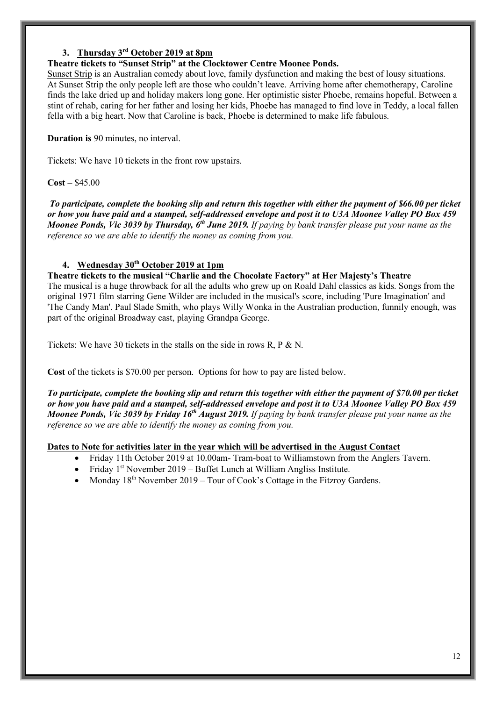### **3. Thursday 3rd October 2019 at 8pm**

### **Theatre tickets to "Sunset Strip" at the Clocktower Centre Moonee Ponds.**

Sunset Strip is an Australian comedy about love, family dysfunction and making the best of lousy situations. At Sunset Strip the only people left are those who couldn't leave. Arriving home after chemotherapy, Caroline finds the lake dried up and holiday makers long gone. Her optimistic sister Phoebe, remains hopeful. Between a stint of rehab, caring for her father and losing her kids, Phoebe has managed to find love in Teddy, a local fallen fella with a big heart. Now that Caroline is back, Phoebe is determined to make life fabulous.

**Duration is** 90 minutes, no interval.

Tickets: We have 10 tickets in the front row upstairs.

### **Cost** – \$45.00

*To participate, complete the booking slip and return this together with either the payment of \$66.00 per ticket or how you have paid and a stamped, self-addressed envelope and post it to U3A Moonee Valley PO Box 459 Moonee Ponds, Vic 3039 by Thursday, 6th June 2019. If paying by bank transfer please put your name as the reference so we are able to identify the money as coming from you.*

### **4. Wednesday 30th October 2019 at 1pm**

**Theatre tickets to the musical "Charlie and the Chocolate Factory" at Her Majesty's Theatre** The musical is a huge throwback for all the adults who grew up on Roald Dahl classics as kids. Songs from the original 1971 film starring Gene Wilder are included in the musical's score, including 'Pure Imagination' and 'The Candy Man'. Paul Slade Smith, who plays Willy Wonka in the Australian production, funnily enough, was part of the original Broadway cast, playing Grandpa George.

Tickets: We have 30 tickets in the stalls on the side in rows R, P & N.

**Cost** of the tickets is \$70.00 per person. Options for how to pay are listed below.

*To participate, complete the booking slip and return this together with either the payment of \$70.00 per ticket or how you have paid and a stamped, self-addressed envelope and post it to U3A Moonee Valley PO Box 459 Moonee Ponds, Vic 3039 by Friday 16th August 2019. If paying by bank transfer please put your name as the reference so we are able to identify the money as coming from you.*

### **Dates to Note for activities later in the year which will be advertised in the August Contact**

- Friday 11th October 2019 at 10.00am- Tram-boat to Williamstown from the Anglers Tavern.
- Friday 1st November 2019 Buffet Lunch at William Angliss Institute.
- Monday  $18<sup>th</sup>$  November 2019 Tour of Cook's Cottage in the Fitzroy Gardens.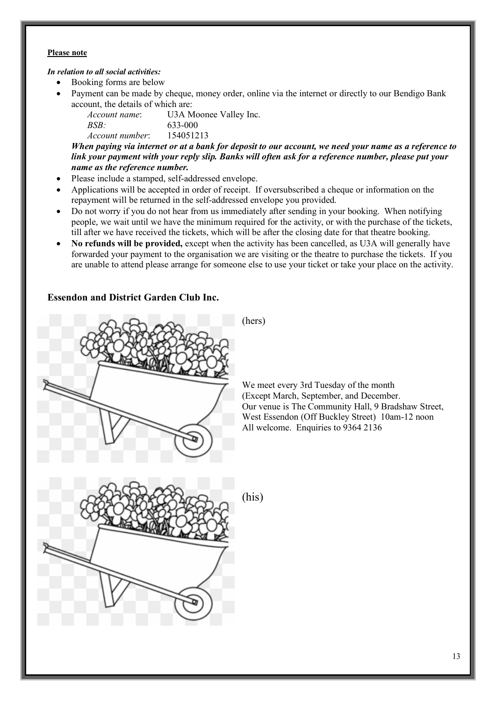#### **Please note**

### *In relation to all social activities:*

- Booking forms are below
- Payment can be made by cheque, money order, online via the internet or directly to our Bendigo Bank account, the details of which are:

*Account name*: U3A Moonee Valley Inc. *BSB:* 633-000 *Account number*: 154051213

*When paying via internet or at a bank for deposit to our account, we need your name as a reference to link your payment with your reply slip. Banks will often ask for a reference number, please put your name as the reference number.*

- Please include a stamped, self-addressed envelope.
- Applications will be accepted in order of receipt. If oversubscribed a cheque or information on the repayment will be returned in the self-addressed envelope you provided.
- Do not worry if you do not hear from us immediately after sending in your booking. When notifying people, we wait until we have the minimum required for the activity, or with the purchase of the tickets, till after we have received the tickets, which will be after the closing date for that theatre booking.
- **No refunds will be provided,** except when the activity has been cancelled, as U3A will generally have forwarded your payment to the organisation we are visiting or the theatre to purchase the tickets. If you are unable to attend please arrange for someone else to use your ticket or take your place on the activity.

### **Essendon and District Garden Club Inc.**



We meet every 3rd Tuesday of the month (Except March, September, and December. Our venue is The Community Hall, 9 Bradshaw Street, West Essendon (Off Buckley Street) 10am-12 noon All welcome. Enquiries to 9364 2136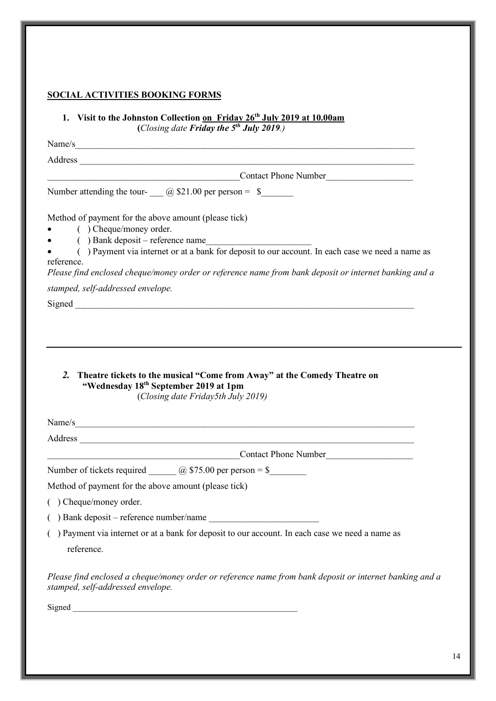### **SOCIAL ACTIVITIES BOOKING FORMS**

### **1. Visit to the Johnston Collection on Friday 26th July 2019 at 10.00am (***Closing date Friday the 5th July 2019.)*

Name/s

Address \_\_\_\_\_\_\_\_\_\_\_\_\_\_\_\_\_\_\_\_\_\_\_\_\_\_\_\_\_\_\_\_\_\_\_\_\_\_\_\_\_\_\_\_\_\_\_\_\_\_\_\_\_\_\_\_\_\_\_\_\_\_\_\_\_\_\_\_\_\_\_\_\_

Contact Phone Number

Number attending the tour- \_\_\_ @ \$21.00 per person = \$\_\_\_\_\_\_\_

Method of payment for the above amount (please tick)

- ( ) Cheque/money order.
- $($ ) Bank deposit reference name
- ( ) Payment via internet or at a bank for deposit to our account. In each case we need a name as reference.

*Please find enclosed cheque/money order or reference name from bank deposit or internet banking and a stamped, self-addressed envelope.*

Signed  $\Box$ 

*2.* **Theatre tickets to the musical "Come from Away" at the Comedy Theatre on "Wednesday 18th September 2019 at 1pm**

(*Closing date Friday5th July 2019)*

Name/s

Address \_\_\_\_\_\_\_\_\_\_\_\_\_\_\_\_\_\_\_\_\_\_\_\_\_\_\_\_\_\_\_\_\_\_\_\_\_\_\_\_\_\_\_\_\_\_\_\_\_\_\_\_\_\_\_\_\_\_\_\_\_\_\_\_\_\_\_\_\_\_\_\_\_

Contact Phone Number

Number of tickets required  $\qquad \qquad (\partial)$  \$75.00 per person = \$

Method of payment for the above amount (please tick)

( ) Cheque/money order.

 $($ ) Bank deposit – reference number/name

( ) Payment via internet or at a bank for deposit to our account. In each case we need a name as reference.

*Please find enclosed a cheque/money order or reference name from bank deposit or internet banking and a stamped, self-addressed envelope.*

Signed \_\_\_\_\_\_\_\_\_\_\_\_\_\_\_\_\_\_\_\_\_\_\_\_\_\_\_\_\_\_\_\_\_\_\_\_\_\_\_\_\_\_\_\_\_\_\_\_\_\_\_\_\_\_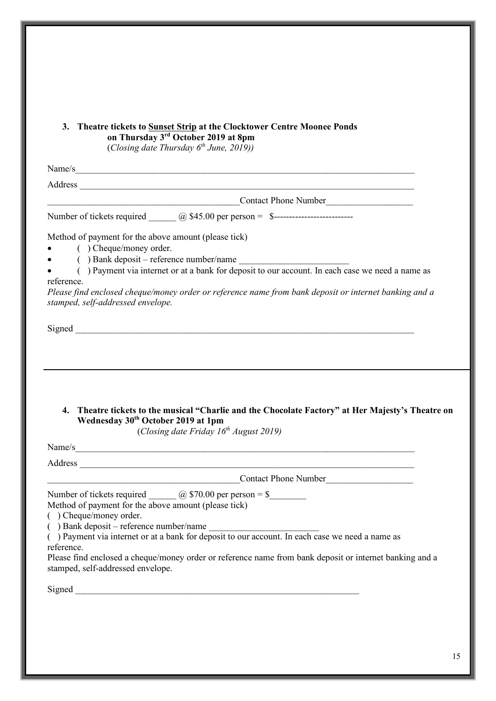| 3. | <b>Theatre tickets to Sunset Strip at the Clocktower Centre Moonee Ponds</b> |
|----|------------------------------------------------------------------------------|
|    | on Thursday 3 <sup>rd</sup> October 2019 at 8pm                              |

(*Closing date Thursday 6th June, 2019))*

Name/s

Address  $\overline{\mathcal{A}}$ 

Contact Phone Number

Number of tickets required \_\_\_\_\_\_ @ \$45.00 per person = \$--------------------------

Method of payment for the above amount (please tick)

- ( ) Cheque/money order.
- $($   $)$  Bank deposit reference number/name
- ( ) Payment via internet or at a bank for deposit to our account. In each case we need a name as reference.

*Please find enclosed cheque/money order or reference name from bank deposit or internet banking and a stamped, self-addressed envelope.*

 $Signed$ 

**4. Theatre tickets to the musical "Charlie and the Chocolate Factory" at Her Majesty's Theatre on Wednesday 30th October 2019 at 1pm**

(*Closing date Friday 16th August 2019)*

Name/s Address  $\overline{\mathcal{A}}$ \_\_\_\_\_\_\_\_\_\_\_\_\_\_\_\_\_\_\_\_\_\_\_\_\_\_\_\_\_\_\_\_\_\_\_\_\_\_\_\_\_\_Contact Phone Number\_\_\_\_\_\_\_\_\_\_\_\_\_\_\_\_\_\_\_ Number of tickets required  $\qquad \qquad \textcircled{a}$  \$70.00 per person = \$ Method of payment for the above amount (please tick)

- ( ) Cheque/money order.
- $($ ) Bank deposit reference number/name

( ) Payment via internet or at a bank for deposit to our account. In each case we need a name as reference.

Please find enclosed a cheque/money order or reference name from bank deposit or internet banking and a stamped, self-addressed envelope.

Signed  $\Box$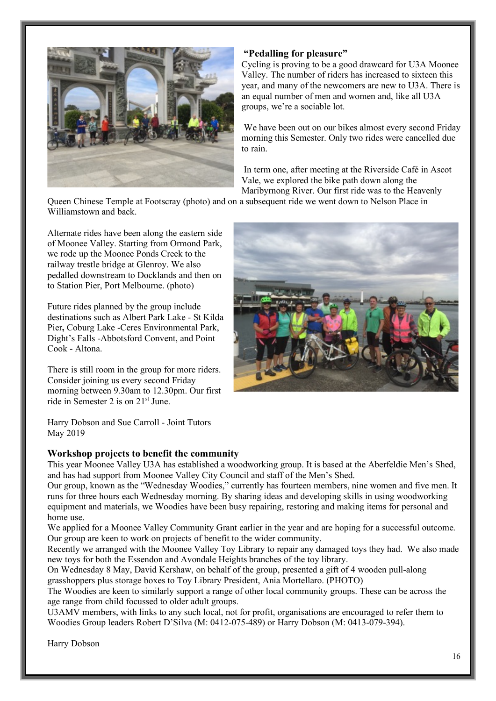

### **"Pedalling for pleasure"**

Cycling is proving to be a good drawcard for U3A Moonee Valley. The number of riders has increased to sixteen this year, and many of the newcomers are new to U3A. There is an equal number of men and women and, like all U3A groups, we're a sociable lot.

We have been out on our bikes almost every second Friday morning this Semester. Only two rides were cancelled due to rain.

In term one, after meeting at the Riverside Café in Ascot Vale, we explored the bike path down along the Maribyrnong River. Our first ride was to the Heavenly

Queen Chinese Temple at Footscray (photo) and on a subsequent ride we went down to Nelson Place in Williamstown and back.

Alternate rides have been along the eastern side of Moonee Valley. Starting from Ormond Park, we rode up the Moonee Ponds Creek to the railway trestle bridge at Glenroy. We also pedalled downstream to Docklands and then on to Station Pier, Port Melbourne. (photo)

Future rides planned by the group include destinations such as Albert Park Lake - St Kilda Pier**,** Coburg Lake -Ceres Environmental Park, Dight's Falls -Abbotsford Convent, and Point Cook - Altona.

There is still room in the group for more riders. Consider joining us every second Friday morning between 9.30am to 12.30pm. Our first ride in Semester 2 is on 21st June.



Harry Dobson and Sue Carroll - Joint Tutors May 2019

### **Workshop projects to benefit the community**

This year Moonee Valley U3A has established a woodworking group. It is based at the Aberfeldie Men's Shed, and has had support from Moonee Valley City Council and staff of the Men's Shed.

Our group, known as the "Wednesday Woodies," currently has fourteen members, nine women and five men. It runs for three hours each Wednesday morning. By sharing ideas and developing skills in using woodworking equipment and materials, we Woodies have been busy repairing, restoring and making items for personal and home use.

We applied for a Moonee Valley Community Grant earlier in the year and are hoping for a successful outcome. Our group are keen to work on projects of benefit to the wider community.

Recently we arranged with the Moonee Valley Toy Library to repair any damaged toys they had. We also made new toys for both the Essendon and Avondale Heights branches of the toy library.

On Wednesday 8 May, David Kershaw, on behalf of the group, presented a gift of 4 wooden pull-along grasshoppers plus storage boxes to Toy Library President, Ania Mortellaro. (PHOTO)

The Woodies are keen to similarly support a range of other local community groups. These can be across the age range from child focussed to older adult groups.

U3AMV members, with links to any such local, not for profit, organisations are encouraged to refer them to Woodies Group leaders Robert D'Silva (M: 0412-075-489) or Harry Dobson (M: 0413-079-394).

Harry Dobson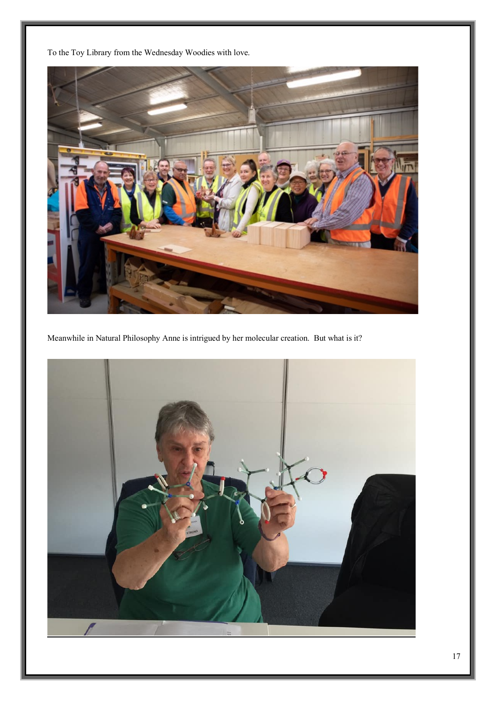To the Toy Library from the Wednesday Woodies with love.



Meanwhile in Natural Philosophy Anne is intrigued by her molecular creation. But what is it?

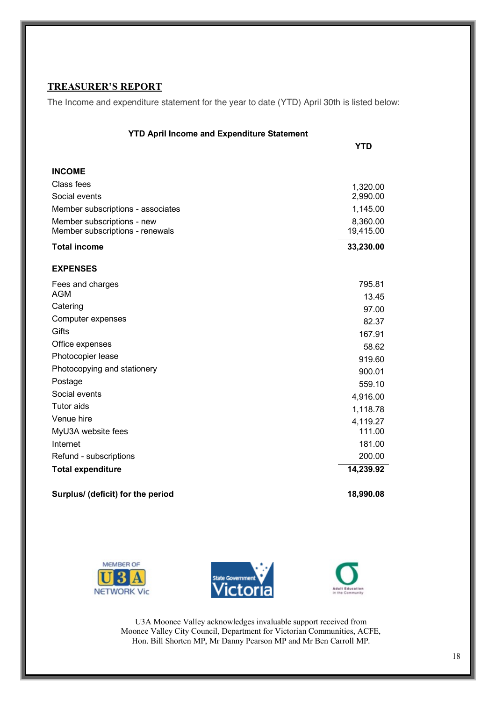### **TREASURER'S REPORT**

The Income and expenditure statement for the year to date (YTD) April 30th is listed below:

| <b>YTD April Income and Expenditure Statement</b> |            |  |
|---------------------------------------------------|------------|--|
|                                                   | <b>YTD</b> |  |
|                                                   |            |  |
| <b>INCOME</b>                                     |            |  |
| Class fees                                        | 1,320.00   |  |
| Social events                                     | 2,990.00   |  |
| Member subscriptions - associates                 | 1,145.00   |  |
| Member subscriptions - new                        | 8,360.00   |  |
| Member subscriptions - renewals                   | 19,415.00  |  |
| <b>Total income</b>                               | 33,230.00  |  |
| <b>EXPENSES</b>                                   |            |  |
| Fees and charges                                  | 795.81     |  |
| <b>AGM</b>                                        | 13.45      |  |
| Catering                                          | 97.00      |  |
| Computer expenses                                 | 82.37      |  |
| Gifts                                             | 167.91     |  |
| Office expenses                                   | 58.62      |  |
| Photocopier lease                                 | 919.60     |  |
| Photocopying and stationery                       | 900.01     |  |
| Postage                                           | 559.10     |  |
| Social events                                     | 4,916.00   |  |
| <b>Tutor</b> aids                                 | 1,118.78   |  |
| Venue hire                                        | 4,119.27   |  |
| MyU3A website fees                                | 111.00     |  |
| Internet                                          | 181.00     |  |
| Refund - subscriptions                            | 200.00     |  |
| <b>Total expenditure</b>                          | 14,239.92  |  |
|                                                   |            |  |
| Surplus/ (deficit) for the period                 | 18,990.08  |  |







U3A Moonee Valley acknowledges invaluable support received from Moonee Valley City Council, Department for Victorian Communities, ACFE, Hon. Bill Shorten MP, Mr Danny Pearson MP and Mr Ben Carroll MP.